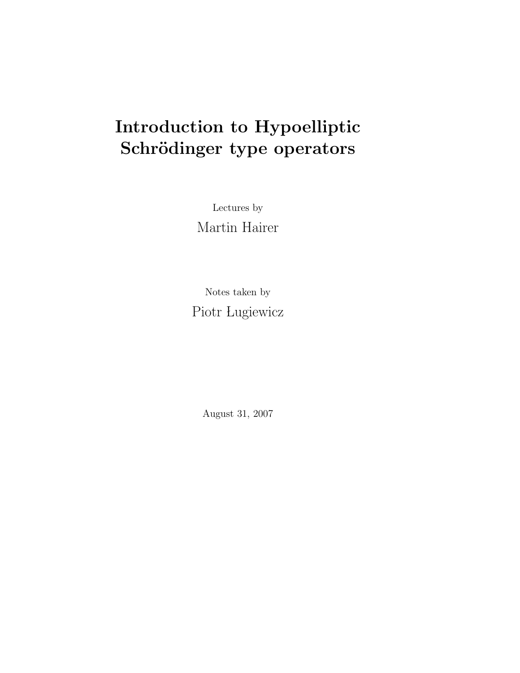## Introduction to Hypoelliptic Schrödinger type operators

Lectures by Martin Hairer

Notes taken by Piotr Lugiewicz

August 31, 2007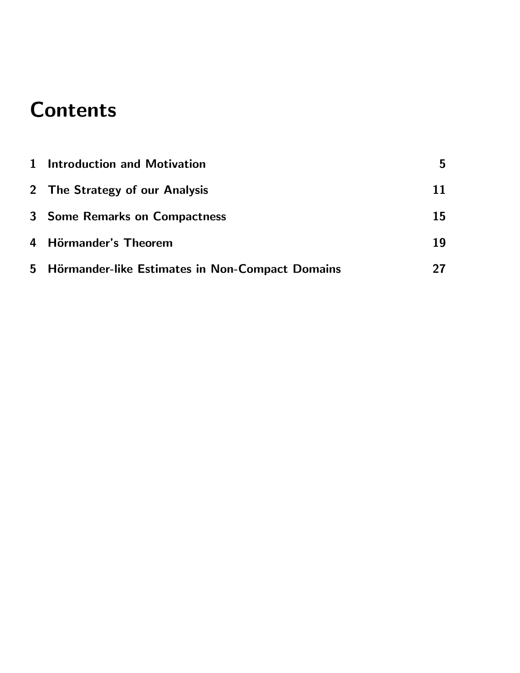# **Contents**

| 1 Introduction and Motivation                     | 5  |
|---------------------------------------------------|----|
| 2 The Strategy of our Analysis                    | 11 |
| <b>3</b> Some Remarks on Compactness              | 15 |
| 4 Hörmander's Theorem                             | 19 |
| 5 Hörmander-like Estimates in Non-Compact Domains |    |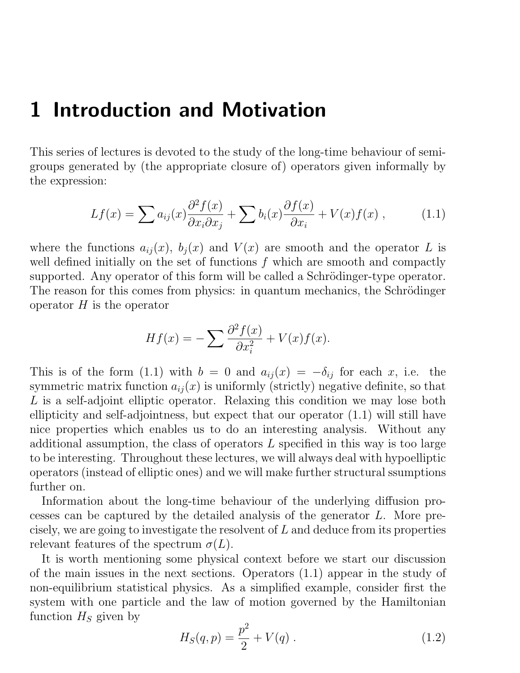### 1 Introduction and Motivation

This series of lectures is devoted to the study of the long-time behaviour of semigroups generated by (the appropriate closure of) operators given informally by the expression:

$$
Lf(x) = \sum a_{ij}(x)\frac{\partial^2 f(x)}{\partial x_i \partial x_j} + \sum b_i(x)\frac{\partial f(x)}{\partial x_i} + V(x)f(x) ,\qquad (1.1)
$$

where the functions  $a_{ij}(x)$ ,  $b_i(x)$  and  $V(x)$  are smooth and the operator L is well defined initially on the set of functions  $f$  which are smooth and compactly supported. Any operator of this form will be called a Schrödinger-type operator. The reason for this comes from physics: in quantum mechanics, the Schrödinger operator  $H$  is the operator

$$
Hf(x) = -\sum \frac{\partial^2 f(x)}{\partial x_i^2} + V(x)f(x).
$$

This is of the form (1.1) with  $b = 0$  and  $a_{ij}(x) = -\delta_{ij}$  for each x, i.e. the symmetric matrix function  $a_{ij}(x)$  is uniformly (strictly) negative definite, so that L is a self-adjoint elliptic operator. Relaxing this condition we may lose both ellipticity and self-adjointness, but expect that our operator (1.1) will still have nice properties which enables us to do an interesting analysis. Without any additional assumption, the class of operators L specified in this way is too large to be interesting. Throughout these lectures, we will always deal with hypoelliptic operators (instead of elliptic ones) and we will make further structural ssumptions further on.

Information about the long-time behaviour of the underlying diffusion processes can be captured by the detailed analysis of the generator L. More precisely, we are going to investigate the resolvent of L and deduce from its properties relevant features of the spectrum  $\sigma(L)$ .

It is worth mentioning some physical context before we start our discussion of the main issues in the next sections. Operators (1.1) appear in the study of non-equilibrium statistical physics. As a simplified example, consider first the system with one particle and the law of motion governed by the Hamiltonian function  $H<sub>S</sub>$  given by

$$
H_S(q, p) = \frac{p^2}{2} + V(q) . \qquad (1.2)
$$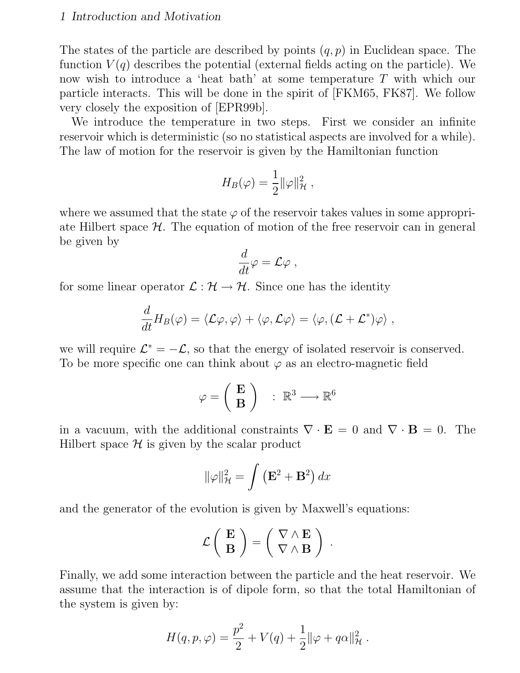#### 1 Introduction and Motivation

The states of the particle are described by points  $(q, p)$  in Euclidean space. The function  $V(q)$  describes the potential (external fields acting on the particle). We now wish to introduce a 'heat bath' at some temperature T with which our particle interacts. This will be done in the spirit of [FKM65, FK87]. We follow very closely the exposition of [EPR99b].

We introduce the temperature in two steps. First we consider an infinite reservoir which is deterministic (so no statistical aspects are involved for a while). The law of motion for the reservoir is given by the Hamiltonian function

$$
H_B(\varphi) = \frac{1}{2} ||\varphi||^2_{\mathcal{H}} ,
$$

where we assumed that the state  $\varphi$  of the reservoir takes values in some appropriate Hilbert space  $H$ . The equation of motion of the free reservoir can in general be given by

$$
\frac{d}{dt}\varphi = \mathcal{L}\varphi ,
$$

for some linear operator  $\mathcal{L} : \mathcal{H} \to \mathcal{H}$ . Since one has the identity

$$
\frac{d}{dt}H_B(\varphi)=\langle \mathcal{L}\varphi,\varphi\rangle+\langle \varphi,\mathcal{L}\varphi\rangle=\langle \varphi,(\mathcal{L}+\mathcal{L}^*)\varphi\rangle,
$$

we will require  $\mathcal{L}^* = -\mathcal{L}$ , so that the energy of isolated reservoir is conserved. To be more specific one can think about  $\varphi$  as an electro-magnetic field

$$
\varphi = \left(\begin{array}{c} \mathbf{E} \\ \mathbf{B} \end{array}\right) \quad : \ \mathbb{R}^3 \longrightarrow \mathbb{R}^6
$$

in a vacuum, with the additional constraints  $\nabla \cdot \mathbf{E} = 0$  and  $\nabla \cdot \mathbf{B} = 0$ . The Hilbert space  $\mathcal H$  is given by the scalar product

$$
\|\varphi\|_{\mathcal{H}}^2 = \int \left(\mathbf{E}^2 + \mathbf{B}^2\right) dx
$$

and the generator of the evolution is given by Maxwell's equations:

$$
\mathcal{L}\left(\begin{array}{c} \mathbf{E} \\ \mathbf{B} \end{array}\right) = \left(\begin{array}{c} \nabla \wedge \mathbf{E} \\ \nabla \wedge \mathbf{B} \end{array}\right) .
$$

Finally, we add some interaction between the particle and the heat reservoir. We assume that the interaction is of dipole form, so that the total Hamiltonian of the system is given by:

$$
H(q, p, \varphi) = \frac{p^2}{2} + V(q) + \frac{1}{2} ||\varphi + q\alpha||^2_{\mathcal{H}}.
$$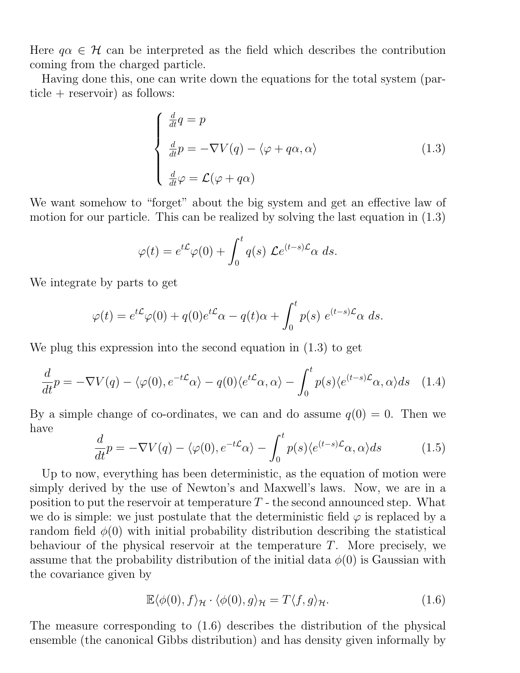Here  $q\alpha \in \mathcal{H}$  can be interpreted as the field which describes the contribution coming from the charged particle.

Having done this, one can write down the equations for the total system (particle + reservoir) as follows:

$$
\begin{cases}\n\frac{d}{dt}q = p \\
\frac{d}{dt}p = -\nabla V(q) - \langle \varphi + q\alpha, \alpha \rangle \\
\frac{d}{dt}\varphi = \mathcal{L}(\varphi + q\alpha)\n\end{cases}
$$
\n(1.3)

We want somehow to "forget" about the big system and get an effective law of motion for our particle. This can be realized by solving the last equation in (1.3)

$$
\varphi(t) = e^{t\mathcal{L}} \varphi(0) + \int_0^t q(s) \ \mathcal{L} e^{(t-s)\mathcal{L}} \alpha \ ds.
$$

We integrate by parts to get

$$
\varphi(t) = e^{t\mathcal{L}}\varphi(0) + q(0)e^{t\mathcal{L}}\alpha - q(t)\alpha + \int_0^t p(s) e^{(t-s)\mathcal{L}}\alpha \, ds.
$$

We plug this expression into the second equation in (1.3) to get

$$
\frac{d}{dt}p = -\nabla V(q) - \langle \varphi(0), e^{-t\mathcal{L}}\alpha \rangle - q(0) \langle e^{t\mathcal{L}}\alpha, \alpha \rangle - \int_0^t p(s) \langle e^{(t-s)\mathcal{L}}\alpha, \alpha \rangle ds \quad (1.4)
$$

By a simple change of co-ordinates, we can and do assume  $q(0) = 0$ . Then we have

$$
\frac{d}{dt}p = -\nabla V(q) - \langle \varphi(0), e^{-t\mathcal{L}}\alpha \rangle - \int_0^t p(s) \langle e^{(t-s)\mathcal{L}}\alpha, \alpha \rangle ds \tag{1.5}
$$

Up to now, everything has been deterministic, as the equation of motion were simply derived by the use of Newton's and Maxwell's laws. Now, we are in a position to put the reservoir at temperature  $T$  - the second announced step. What we do is simple: we just postulate that the deterministic field  $\varphi$  is replaced by a random field  $\phi(0)$  with initial probability distribution describing the statistical behaviour of the physical reservoir at the temperature  $T$ . More precisely, we assume that the probability distribution of the initial data  $\phi(0)$  is Gaussian with the covariance given by

$$
\mathbb{E}\langle\phi(0),f\rangle_{\mathcal{H}}\cdot\langle\phi(0),g\rangle_{\mathcal{H}}=T\langle f,g\rangle_{\mathcal{H}}.\tag{1.6}
$$

The measure corresponding to (1.6) describes the distribution of the physical ensemble (the canonical Gibbs distribution) and has density given informally by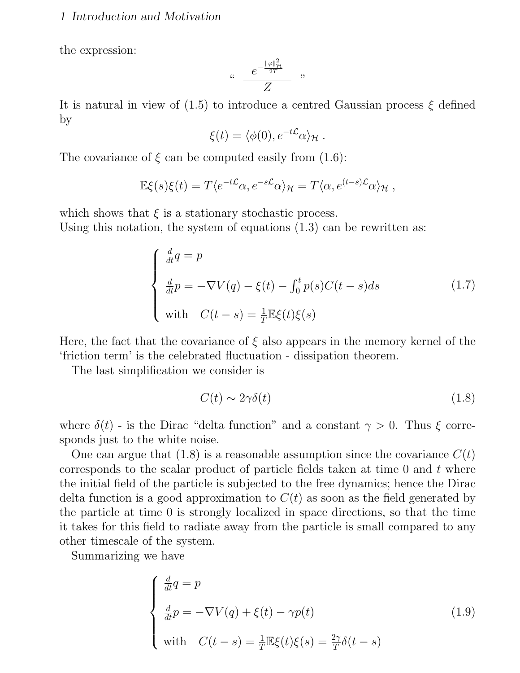#### 1 Introduction and Motivation

the expression:

$$
\qquad \qquad \alpha \quad \frac{e^{-\frac{\|\varphi\|_{{\cal H}}^2}{2T}}}{Z} \quad ,
$$

It is natural in view of (1.5) to introduce a centred Gaussian process  $\xi$  defined by

$$
\xi(t) = \langle \phi(0), e^{-t\mathcal{L}} \alpha \rangle_{\mathcal{H}}.
$$

The covariance of  $\xi$  can be computed easily from (1.6):

$$
\mathbb{E}\xi(s)\xi(t) = T\langle e^{-t\mathcal{L}}\alpha, e^{-s\mathcal{L}}\alpha \rangle_{\mathcal{H}} = T\langle \alpha, e^{(t-s)\mathcal{L}}\alpha \rangle_{\mathcal{H}},
$$

which shows that  $\xi$  is a stationary stochastic process.

Using this notation, the system of equations (1.3) can be rewritten as:

$$
\begin{cases}\n\frac{d}{dt}q = p \\
\frac{d}{dt}p = -\nabla V(q) - \xi(t) - \int_0^t p(s)C(t-s)ds \\
\text{with} \quad C(t-s) = \frac{1}{T} \mathbb{E}\xi(t)\xi(s)\n\end{cases}
$$
\n(1.7)

Here, the fact that the covariance of  $\xi$  also appears in the memory kernel of the 'friction term' is the celebrated fluctuation - dissipation theorem.

The last simplification we consider is

$$
C(t) \sim 2\gamma \delta(t) \tag{1.8}
$$

where  $\delta(t)$  - is the Dirac "delta function" and a constant  $\gamma > 0$ . Thus  $\xi$  corresponds just to the white noise.

One can argue that  $(1.8)$  is a reasonable assumption since the covariance  $C(t)$ corresponds to the scalar product of particle fields taken at time 0 and t where the initial field of the particle is subjected to the free dynamics; hence the Dirac delta function is a good approximation to  $C(t)$  as soon as the field generated by the particle at time 0 is strongly localized in space directions, so that the time it takes for this field to radiate away from the particle is small compared to any other timescale of the system.

Summarizing we have

$$
\begin{cases}\n\frac{d}{dt}q = p \\
\frac{d}{dt}p = -\nabla V(q) + \xi(t) - \gamma p(t) \\
\text{with } C(t - s) = \frac{1}{T} \mathbb{E}\xi(t)\xi(s) = \frac{2\gamma}{T}\delta(t - s)\n\end{cases}
$$
\n(1.9)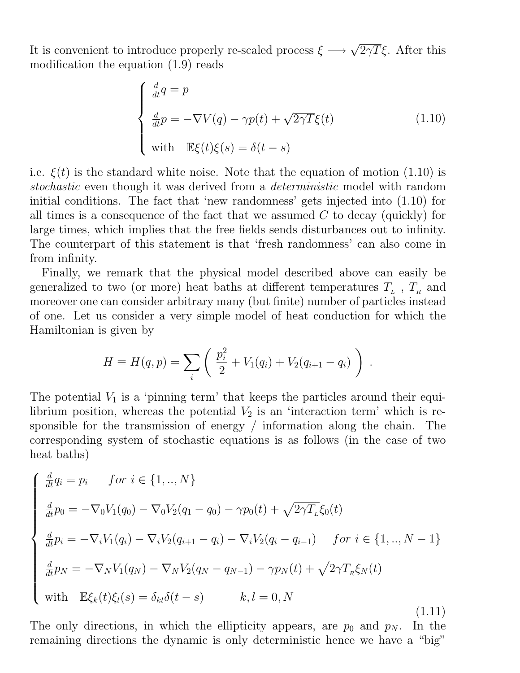It is convenient to introduce properly re-scaled process  $\xi \longrightarrow \sqrt{2\gamma T} \xi$ . After this modification the equation (1.9) reads

$$
\begin{cases}\n\frac{d}{dt}q = p \\
\frac{d}{dt}p = -\nabla V(q) - \gamma p(t) + \sqrt{2\gamma T}\xi(t) \\
\text{with} \quad \mathbb{E}\xi(t)\xi(s) = \delta(t - s)\n\end{cases}
$$
\n(1.10)

i.e.  $\xi(t)$  is the standard white noise. Note that the equation of motion (1.10) is stochastic even though it was derived from a *deterministic* model with random initial conditions. The fact that 'new randomness' gets injected into (1.10) for all times is a consequence of the fact that we assumed  $C$  to decay (quickly) for large times, which implies that the free fields sends disturbances out to infinity. The counterpart of this statement is that 'fresh randomness' can also come in from infinity.

Finally, we remark that the physical model described above can easily be generalized to two (or more) heat baths at different temperatures  $T_{\scriptscriptstyle L}$  ,  $T_{\scriptscriptstyle R}$  and moreover one can consider arbitrary many (but finite) number of particles instead of one. Let us consider a very simple model of heat conduction for which the Hamiltonian is given by

$$
H \equiv H(q, p) = \sum_{i} \left( \frac{p_i^2}{2} + V_1(q_i) + V_2(q_{i+1} - q_i) \right) .
$$

The potential  $V_1$  is a 'pinning term' that keeps the particles around their equilibrium position, whereas the potential  $V_2$  is an 'interaction term' which is responsible for the transmission of energy / information along the chain. The corresponding system of stochastic equations is as follows (in the case of two heat baths)

$$
\begin{cases}\n\frac{d}{dt}q_i = p_i & \text{for } i \in \{1,..,N\} \\
\frac{d}{dt}p_0 = -\nabla_0 V_1(q_0) - \nabla_0 V_2(q_1 - q_0) - \gamma p_0(t) + \sqrt{2\gamma T_L} \xi_0(t) \\
\frac{d}{dt}p_i = -\nabla_i V_1(q_i) - \nabla_i V_2(q_{i+1} - q_i) - \nabla_i V_2(q_i - q_{i-1}) & \text{for } i \in \{1,..,N-1\} \\
\frac{d}{dt}p_N = -\nabla_N V_1(q_N) - \nabla_N V_2(q_N - q_{N-1}) - \gamma p_N(t) + \sqrt{2\gamma T_R} \xi_N(t) \\
\text{with } \mathbb{E}\xi_k(t)\xi_l(s) = \delta_{kl}\delta(t - s) & k, l = 0, N\n\end{cases}
$$
\n(1.11)

The only directions, in which the ellipticity appears, are  $p_0$  and  $p_N$ . In the remaining directions the dynamic is only deterministic hence we have a "big"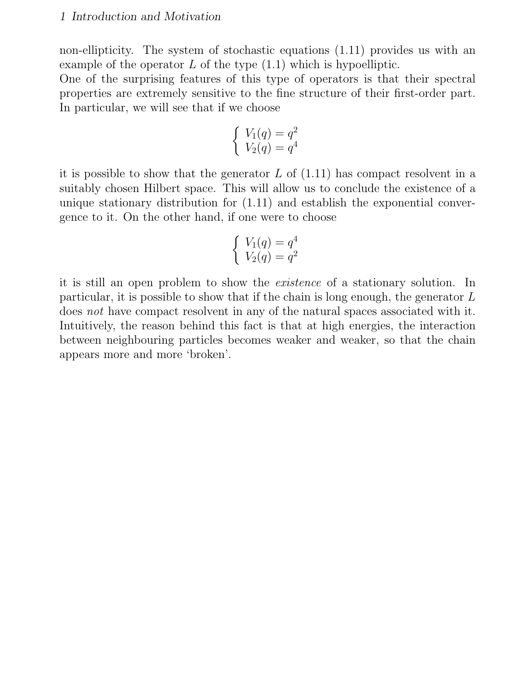non-ellipticity. The system of stochastic equations (1.11) provides us with an example of the operator  $L$  of the type  $(1.1)$  which is hypoelliptic.

One of the surprising features of this type of operators is that their spectral properties are extremely sensitive to the fine structure of their first-order part. In particular, we will see that if we choose

$$
\begin{cases}\nV_1(q) = q^2 \\
V_2(q) = q^4\n\end{cases}
$$

it is possible to show that the generator  $L$  of  $(1.11)$  has compact resolvent in a suitably chosen Hilbert space. This will allow us to conclude the existence of a unique stationary distribution for (1.11) and establish the exponential convergence to it. On the other hand, if one were to choose

$$
\begin{cases}\nV_1(q) = q^4 \\
V_2(q) = q^2\n\end{cases}
$$

it is still an open problem to show the existence of a stationary solution. In particular, it is possible to show that if the chain is long enough, the generator L does not have compact resolvent in any of the natural spaces associated with it. Intuitively, the reason behind this fact is that at high energies, the interaction between neighbouring particles becomes weaker and weaker, so that the chain appears more and more 'broken'.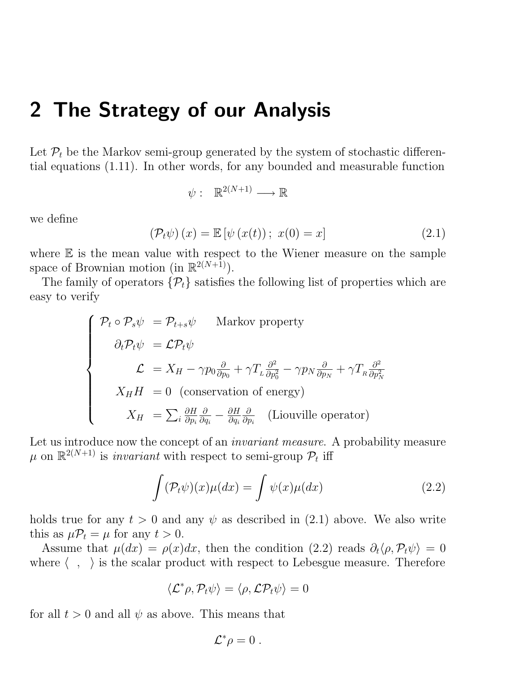## 2 The Strategy of our Analysis

Let  $\mathcal{P}_t$  be the Markov semi-group generated by the system of stochastic differential equations (1.11). In other words, for any bounded and measurable function

$$
\psi: \mathbb{R}^{2(N+1)} \longrightarrow \mathbb{R}
$$

we define

$$
\left(\mathcal{P}_{t}\psi\right)(x) = \mathbb{E}\left[\psi\left(x(t)\right); \ x(0) = x\right] \tag{2.1}
$$

where  $E$  is the mean value with respect to the Wiener measure on the sample space of Brownian motion (in  $\mathbb{R}^{2(N+1)}$ ).

The family of operators  $\{\mathcal{P}_t\}$  satisfies the following list of properties which are easy to verify

$$
\begin{cases}\n\mathcal{P}_t \circ \mathcal{P}_s \psi = \mathcal{P}_{t+s} \psi \quad \text{Markov property} \\
\partial_t \mathcal{P}_t \psi = \mathcal{L} \mathcal{P}_t \psi \\
\mathcal{L} = X_H - \gamma p_0 \frac{\partial}{\partial p_0} + \gamma T_L \frac{\partial^2}{\partial p_0^2} - \gamma p_N \frac{\partial}{\partial p_N} + \gamma T_R \frac{\partial^2}{\partial p_N^2} \\
X_H H = 0 \quad \text{(conservation of energy)} \\
X_H = \sum_i \frac{\partial H}{\partial p_i} \frac{\partial}{\partial q_i} - \frac{\partial H}{\partial q_i} \frac{\partial}{\partial p_i} \quad \text{(Liouville operator)}\n\end{cases}
$$

Let us introduce now the concept of an *invariant measure*. A probability measure  $\mu$  on  $\mathbb{R}^{2(N+1)}$  is *invariant* with respect to semi-group  $\mathcal{P}_t$  iff

$$
\int (\mathcal{P}_t \psi)(x) \mu(dx) = \int \psi(x) \mu(dx) \tag{2.2}
$$

holds true for any  $t > 0$  and any  $\psi$  as described in (2.1) above. We also write this as  $\mu \mathcal{P}_t = \mu$  for any  $t > 0$ .

Assume that  $\mu(dx) = \rho(x)dx$ , then the condition (2.2) reads  $\partial_t \langle \rho, \mathcal{P}_t \psi \rangle = 0$ where  $\langle , \rangle$  is the scalar product with respect to Lebesgue measure. Therefore

$$
\langle \mathcal{L}^* \rho, \mathcal{P}_t \psi \rangle = \langle \rho, \mathcal{L} \mathcal{P}_t \psi \rangle = 0
$$

for all  $t > 0$  and all  $\psi$  as above. This means that

$$
\mathcal{L}^*\rho=0.
$$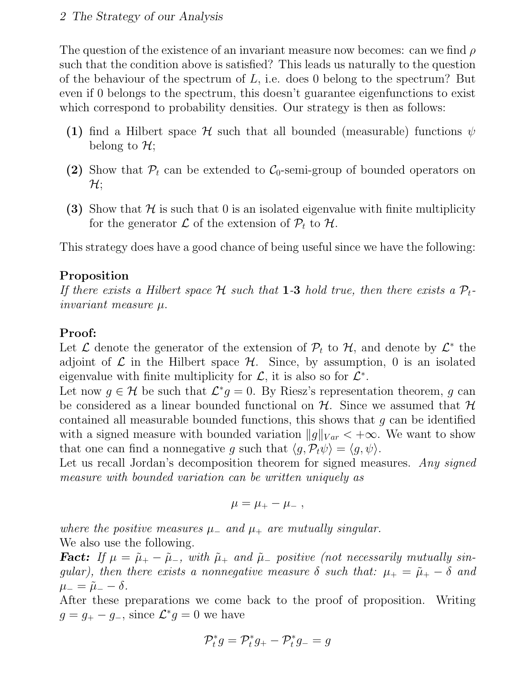The question of the existence of an invariant measure now becomes: can we find  $\rho$ such that the condition above is satisfied? This leads us naturally to the question of the behaviour of the spectrum of L, i.e. does 0 belong to the spectrum? But even if 0 belongs to the spectrum, this doesn't guarantee eigenfunctions to exist which correspond to probability densities. Our strategy is then as follows:

- (1) find a Hilbert space H such that all bounded (measurable) functions  $\psi$ belong to  $\mathcal{H}$ ;
- (2) Show that  $P_t$  can be extended to  $C_0$ -semi-group of bounded operators on  $\mathcal{H};$
- (3) Show that  $\mathcal H$  is such that 0 is an isolated eigenvalue with finite multiplicity for the generator  $\mathcal L$  of the extension of  $\mathcal P_t$  to  $\mathcal H$ .

This strategy does have a good chance of being useful since we have the following:

### Proposition

If there exists a Hilbert space  $\mathcal H$  such that 1-3 hold true, then there exists a  $\mathcal P_t$ invariant measure µ.

### Proof:

Let  $\mathcal L$  denote the generator of the extension of  $\mathcal P_t$  to  $\mathcal H$ , and denote by  $\mathcal L^*$  the adjoint of  $\mathcal L$  in the Hilbert space  $\mathcal H$ . Since, by assumption, 0 is an isolated eigenvalue with finite multiplicity for  $\mathcal{L}$ , it is also so for  $\mathcal{L}^*$ .

Let now  $g \in \mathcal{H}$  be such that  $\mathcal{L}^* g = 0$ . By Riesz's representation theorem, g can be considered as a linear bounded functional on  $H$ . Since we assumed that  $H$ contained all measurable bounded functions, this shows that g can be identified with a signed measure with bounded variation  $||g||_{Var} < +\infty$ . We want to show that one can find a nonnegative g such that  $\langle q, P_t \psi \rangle = \langle q, \psi \rangle$ .

Let us recall Jordan's decomposition theorem for signed measures. Any signed measure with bounded variation can be written uniquely as

$$
\mu=\mu_+-\mu_- \; ,
$$

where the positive measures  $\mu_-$  and  $\mu_+$  are mutually singular.

We also use the following.

**Fact:** If  $\mu = \tilde{\mu}_+ - \tilde{\mu}_-,$  with  $\tilde{\mu}_+$  and  $\tilde{\mu}_-$  positive (not necessarily mutually singular), then there exists a nonnegative measure  $\delta$  such that:  $\mu_{+} = \tilde{\mu}_{+} - \delta$  and  $\mu_- = \tilde{\mu}_- - \delta$ .

After these preparations we come back to the proof of proposition. Writing  $g = g_+ - g_-,$  since  $\mathcal{L}^* g = 0$  we have

$$
\mathcal{P}_t^* g = \mathcal{P}_t^* g_+ - \mathcal{P}_t^* g_- = g
$$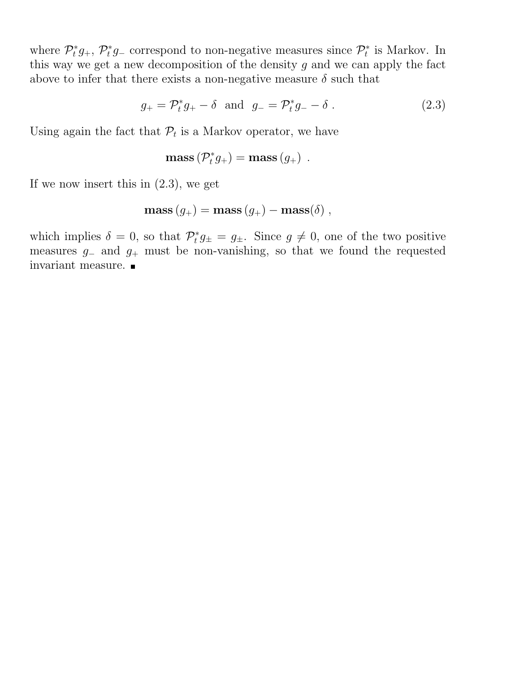where  $\mathcal{P}_t^*$  $t^*g_+, \mathcal{P}_t^*$ <sup>\*</sup><sub>*t*</sub><sup>*g*</sup> – correspond to non-negative measures since  $\mathcal{P}^*$ <sup>*t*</sup>  $t^*$  is Markov. In this way we get a new decomposition of the density  $g$  and we can apply the fact above to infer that there exists a non-negative measure  $\delta$  such that

$$
g_{+} = \mathcal{P}_{t}^{*} g_{+} - \delta
$$
 and  $g_{-} = \mathcal{P}_{t}^{*} g_{-} - \delta$ . (2.3)

Using again the fact that  $P_t$  is a Markov operator, we have

$$
\mathbf{mass}\left(\mathcal{P}_t^*g_+\right) = \mathbf{mass}\left(g_+\right) \ .
$$

If we now insert this in  $(2.3)$ , we get

$$
\mathbf{mass}\left(g_{+}\right)=\mathbf{mass}\left(g_{+}\right)-\mathbf{mass}(\delta)\;,
$$

which implies  $\delta = 0$ , so that  $\mathcal{P}_t^*$  $t_t^* g_{\pm} = g_{\pm}$ . Since  $g \neq 0$ , one of the two positive measures  $g_$  and  $g_+$  must be non-vanishing, so that we found the requested invariant measure.  $\blacksquare$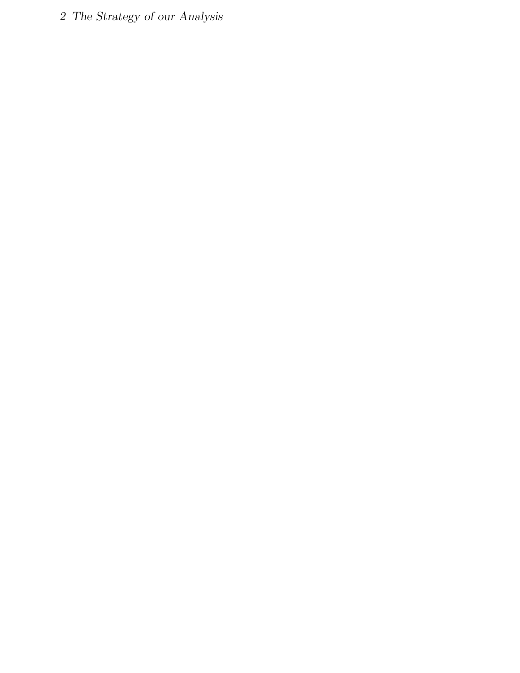### 2 The Strategy of our Analysis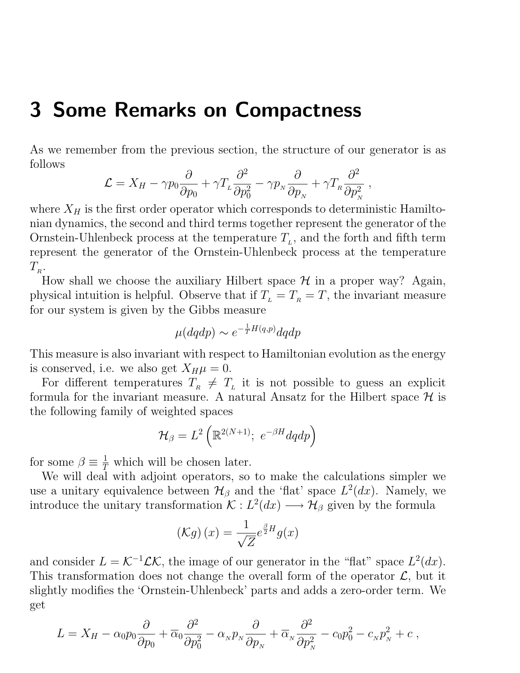## 3 Some Remarks on Compactness

As we remember from the previous section, the structure of our generator is as follows

$$
\mathcal{L} = X_H - \gamma p_0 \frac{\partial}{\partial p_0} + \gamma T_L \frac{\partial^2}{\partial p_0^2} - \gamma p_{\scriptscriptstyle N} \frac{\partial}{\partial p_{\scriptscriptstyle N}} + \gamma T_R \frac{\partial^2}{\partial p_{\scriptscriptstyle N}^2} ,
$$

where  $X_H$  is the first order operator which corresponds to deterministic Hamiltonian dynamics, the second and third terms together represent the generator of the Ornstein-Uhlenbeck process at the temperature  $T<sub>L</sub>$ , and the forth and fifth term represent the generator of the Ornstein-Uhlenbeck process at the temperature  $T_{\scriptscriptstyle R}$ .

How shall we choose the auxiliary Hilbert space  $H$  in a proper way? Again, physical intuition is helpful. Observe that if  $T_{L} = T_{R} = T$ , the invariant measure for our system is given by the Gibbs measure

$$
\mu(dqdp) \sim e^{-\frac{1}{T}H(q,p)}dqdp
$$

This measure is also invariant with respect to Hamiltonian evolution as the energy is conserved, i.e. we also get  $X_H\mu = 0$ .

For different temperatures  $T_R \neq T_L$  it is not possible to guess an explicit formula for the invariant measure. A natural Ansatz for the Hilbert space  $\mathcal{H}$  is the following family of weighted spaces

$$
\mathcal{H}_{\beta}=L^2\left(\mathbb{R}^{2(N+1)};\,\,e^{-\beta H}dqd p\right)
$$

for some  $\beta \equiv \frac{1}{T}$  which will be chosen later.

We will deal with adjoint operators, so to make the calculations simpler we use a unitary equivalence between  $\mathcal{H}_{\beta}$  and the 'flat' space  $L^2(dx)$ . Namely, we introduce the unitary transformation  $\mathcal{K}: L^2(dx) \longrightarrow \mathcal{H}_{\beta}$  given by the formula

$$
(\mathcal{K}g)(x) = \frac{1}{\sqrt{Z}} e^{\frac{\beta}{2}H} g(x)
$$

and consider  $L = \mathcal{K}^{-1} \mathcal{LK}$ , the image of our generator in the "flat" space  $L^2(dx)$ . This transformation does not change the overall form of the operator  $\mathcal{L}$ , but it slightly modifies the 'Ornstein-Uhlenbeck' parts and adds a zero-order term. We get

$$
L = X_H - \alpha_0 p_0 \frac{\partial}{\partial p_0} + \overline{\alpha}_0 \frac{\partial^2}{\partial p_0^2} - \alpha_N p_N \frac{\partial}{\partial p_N} + \overline{\alpha}_N \frac{\partial^2}{\partial p_N^2} - c_0 p_0^2 - c_N p_N^2 + c,
$$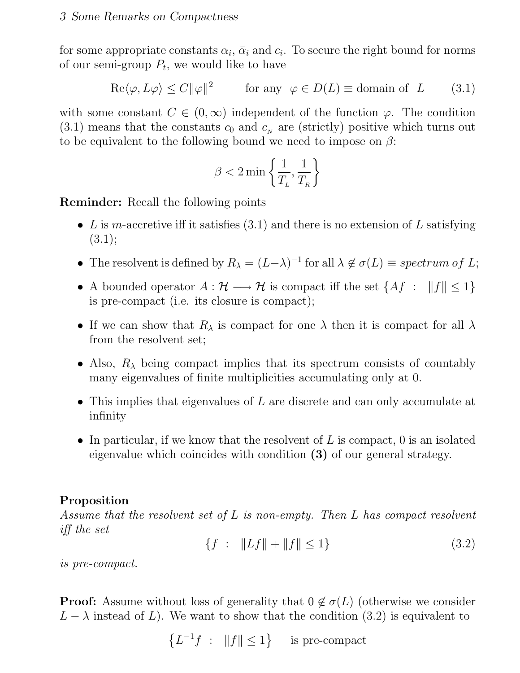for some appropriate constants  $\alpha_i$ ,  $\bar{\alpha}_i$  and  $c_i$ . To secure the right bound for norms of our semi-group  $P_t$ , we would like to have

$$
\operatorname{Re}\langle \varphi, L\varphi \rangle \le C \|\varphi\|^2 \qquad \text{for any } \varphi \in D(L) \equiv \text{domain of } L \qquad (3.1)
$$

with some constant  $C \in (0,\infty)$  independent of the function  $\varphi$ . The condition  $(3.1)$  means that the constants  $c_0$  and  $c_N$  are (strictly) positive which turns out to be equivalent to the following bound we need to impose on  $\beta$ :

$$
\beta < 2 \min \left\{ \frac{1}{T_{\scriptscriptstyle L}}, \frac{1}{T_{\scriptscriptstyle R}} \right\}
$$

Reminder: Recall the following points

- L is m-accretive iff it satisfies  $(3.1)$  and there is no extension of L satisfying  $(3.1);$
- The resolvent is defined by  $R_{\lambda} = (L \lambda)^{-1}$  for all  $\lambda \notin \sigma(L) \equiv spectrum \ of \ L;$
- A bounded operator  $A : \mathcal{H} \longrightarrow \mathcal{H}$  is compact iff the set  $\{Af : ||f|| \leq 1\}$ is pre-compact (i.e. its closure is compact);
- If we can show that  $R_{\lambda}$  is compact for one  $\lambda$  then it is compact for all  $\lambda$ from the resolvent set;
- Also,  $R_{\lambda}$  being compact implies that its spectrum consists of countably many eigenvalues of finite multiplicities accumulating only at 0.
- This implies that eigenvalues of L are discrete and can only accumulate at infinity
- In particular, if we know that the resolvent of  $L$  is compact, 0 is an isolated eigenvalue which coincides with condition (3) of our general strategy.

### Proposition

Assume that the resolvent set of L is non-empty. Then L has compact resolvent iff the set

$$
\{f : \|Lf\| + \|f\| \le 1\} \tag{3.2}
$$

is pre-compact.

**Proof:** Assume without loss of generality that  $0 \notin \sigma(L)$  (otherwise we consider  $L - \lambda$  instead of L). We want to show that the condition (3.2) is equivalent to

$$
\left\{ L^{-1}f \ : \ \|f\| \le 1 \right\} \quad \text{ is pre-compact}
$$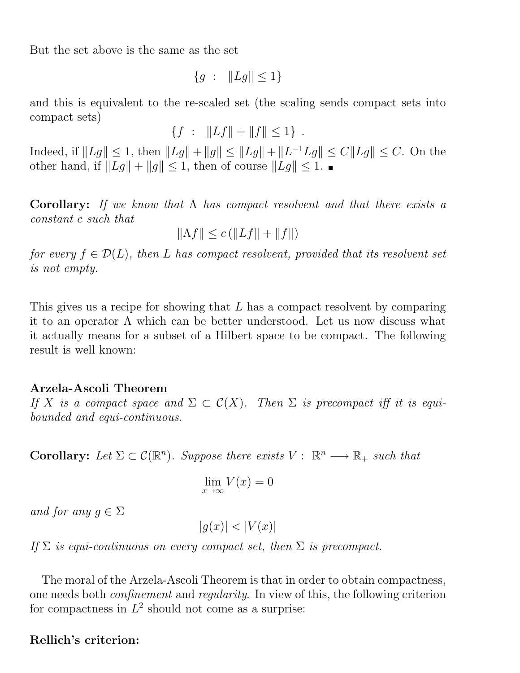But the set above is the same as the set

$$
\{g~:~\Vert Lg\Vert\leq 1\}
$$

and this is equivalent to the re-scaled set (the scaling sends compact sets into compact sets)

$$
\{f : \|Lf\| + \|f\| \le 1\} .
$$

Indeed, if  $||Lg|| \leq 1$ , then  $||Lg|| + ||g|| \leq ||Lg|| + ||L^{-1}Lg|| \leq C||Lg|| \leq C$ . On the other hand, if  $||Lg|| + ||g|| \le 1$ , then of course  $||Lg|| \le 1$ .

Corollary: If we know that  $\Lambda$  has compact resolvent and that there exists a constant c such that

$$
\|\Lambda f\| \le c \left( \|Lf\| + \|f\| \right)
$$

for every  $f \in \mathcal{D}(L)$ , then L has compact resolvent, provided that its resolvent set is not empty.

This gives us a recipe for showing that L has a compact resolvent by comparing it to an operator  $\Lambda$  which can be better understood. Let us now discuss what it actually means for a subset of a Hilbert space to be compact. The following result is well known:

#### Arzela-Ascoli Theorem

If X is a compact space and  $\Sigma \subset \mathcal{C}(X)$ . Then  $\Sigma$  is precompact iff it is equibounded and equi-continuous.

**Corollary:** Let  $\Sigma \subset \mathcal{C}(\mathbb{R}^n)$ . Suppose there exists  $V : \mathbb{R}^n \longrightarrow \mathbb{R}_+$  such that

$$
\lim_{x \to \infty} V(x) = 0
$$

and for any  $q \in \Sigma$ 

$$
|g(x)| < |V(x)|
$$

If  $\Sigma$  is equi-continuous on every compact set, then  $\Sigma$  is precompact.

The moral of the Arzela-Ascoli Theorem is that in order to obtain compactness, one needs both confinement and regularity. In view of this, the following criterion for compactness in  $L^2$  should not come as a surprise:

#### Rellich's criterion: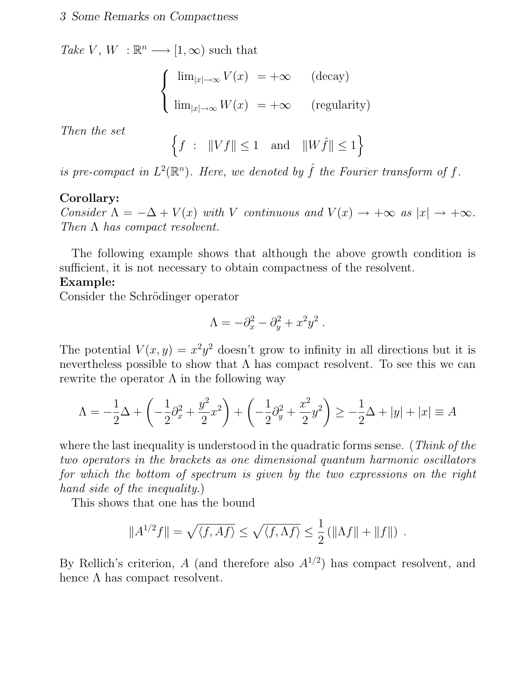#### 3 Some Remarks on Compactness

Take V,  $W : \mathbb{R}^n \longrightarrow [1, \infty)$  such that

$$
\begin{cases}\n\lim_{|x| \to \infty} V(x) &= +\infty \quad (\text{decay}) \\
\lim_{|x| \to \infty} W(x) &= +\infty \quad (\text{regularity})\n\end{cases}
$$

Then the set

$$
\left\{f : \|Vf\| \le 1 \quad \text{and} \quad \|W\hat{f}\| \le 1\right\}
$$

is pre-compact in  $L^2(\mathbb{R}^n)$ . Here, we denoted by  $\hat{f}$  the Fourier transform of f.

#### Corollary:

Consider  $\Lambda = -\Delta + V(x)$  with V continuous and  $V(x) \rightarrow +\infty$  as  $|x| \rightarrow +\infty$ . Then  $\Lambda$  has compact resolvent.

The following example shows that although the above growth condition is sufficient, it is not necessary to obtain compactness of the resolvent.

#### Example:

Consider the Schrödinger operator

$$
\Lambda = -\partial_x^2 - \partial_y^2 + x^2 y^2.
$$

The potential  $V(x, y) = x^2y^2$  doesn't grow to infinity in all directions but it is nevertheless possible to show that  $\Lambda$  has compact resolvent. To see this we can rewrite the operator  $\Lambda$  in the following way

$$
\Lambda = -\frac{1}{2}\Delta + \left(-\frac{1}{2}\partial_x^2 + \frac{y^2}{2}x^2\right) + \left(-\frac{1}{2}\partial_y^2 + \frac{x^2}{2}y^2\right) \ge -\frac{1}{2}\Delta + |y| + |x| \equiv A
$$

where the last inequality is understood in the quadratic forms sense. (Think of the two operators in the brackets as one dimensional quantum harmonic oscillators for which the bottom of spectrum is given by the two expressions on the right hand side of the inequality.)

This shows that one has the bound

$$
||A^{1/2}f|| = \sqrt{\langle f, Af \rangle} \le \sqrt{\langle f, \Lambda f \rangle} \le \frac{1}{2} (||\Lambda f|| + ||f||) .
$$

By Rellich's criterion, A (and therefore also  $A^{1/2}$ ) has compact resolvent, and hence  $\Lambda$  has compact resolvent.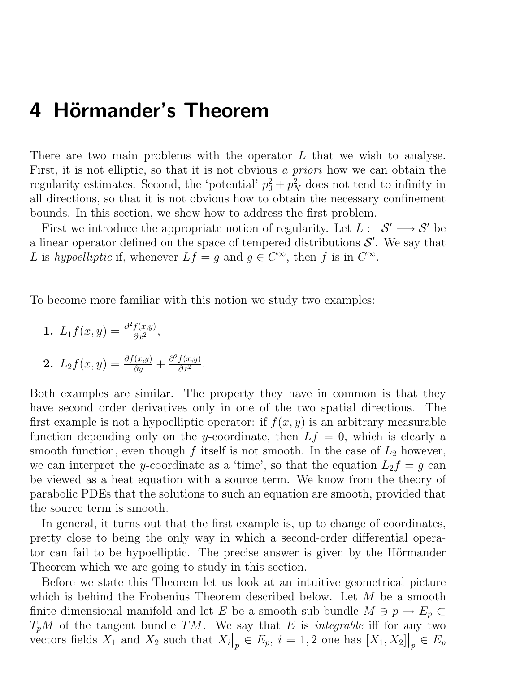## 4 Hörmander's Theorem

There are two main problems with the operator L that we wish to analyse. First, it is not elliptic, so that it is not obvious a priori how we can obtain the regularity estimates. Second, the 'potential'  $p_0^2 + p_N^2$  does not tend to infinity in all directions, so that it is not obvious how to obtain the necessary confinement bounds. In this section, we show how to address the first problem.

First we introduce the appropriate notion of regularity. Let  $L: S' \longrightarrow S'$  be a linear operator defined on the space of tempered distributions  $\mathcal{S}'$ . We say that L is hypoelliptic if, whenever  $Lf = g$  and  $g \in C^{\infty}$ , then f is in  $C^{\infty}$ .

To become more familiar with this notion we study two examples:

.

1. 
$$
L_1 f(x, y) = \frac{\partial^2 f(x, y)}{\partial x^2}
$$
,

**2.** 
$$
L_2 f(x, y) = \frac{\partial f(x, y)}{\partial y} + \frac{\partial^2 f(x, y)}{\partial x^2}
$$

Both examples are similar. The property they have in common is that they have second order derivatives only in one of the two spatial directions. The first example is not a hypoelliptic operator: if  $f(x, y)$  is an arbitrary measurable function depending only on the y-coordinate, then  $Lf = 0$ , which is clearly a smooth function, even though f itself is not smooth. In the case of  $L_2$  however, we can interpret the y-coordinate as a 'time', so that the equation  $L_2f = g$  can be viewed as a heat equation with a source term. We know from the theory of parabolic PDEs that the solutions to such an equation are smooth, provided that the source term is smooth.

In general, it turns out that the first example is, up to change of coordinates, pretty close to being the only way in which a second-order differential operator can fail to be hypoelliptic. The precise answer is given by the Hörmander Theorem which we are going to study in this section.

Before we state this Theorem let us look at an intuitive geometrical picture which is behind the Frobenius Theorem described below. Let M be a smooth finite dimensional manifold and let E be a smooth sub-bundle  $M \ni p \to E_p \subset$  $T_pM$  of the tangent bundle TM. We say that E is *integrable* iff for any two vectors fields  $X_1$  and  $X_2$  such that  $X_i$  $|p \in E_p, i = 1, 2$  one has  $[X_1, X_2]$  $\big|_p \in E_p$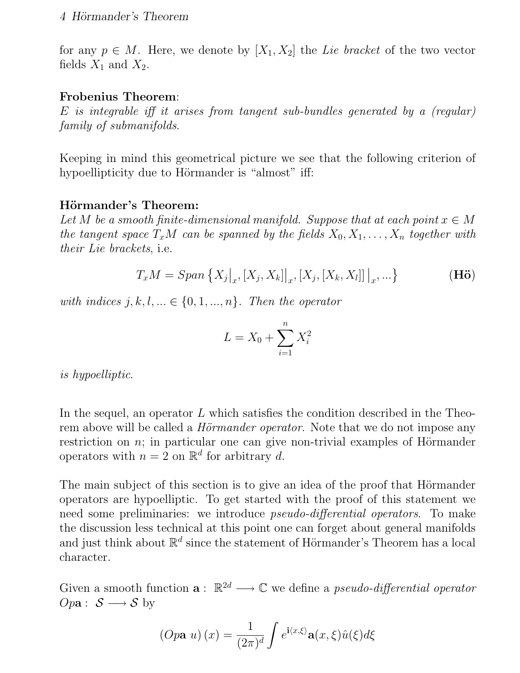for any  $p \in M$ . Here, we denote by  $|X_1, X_2|$  the Lie bracket of the two vector fields  $X_1$  and  $X_2$ .

#### Frobenius Theorem:

E is integrable iff it arises from tangent sub-bundles generated by a (regular) family of submanifolds.

Keeping in mind this geometrical picture we see that the following criterion of hypoellipticity due to Hörmander is "almost" iff:

#### Hörmander's Theorem:

Let M be a smooth finite-dimensional manifold. Suppose that at each point  $x \in M$ the tangent space  $T_xM$  can be spanned by the fields  $X_0, X_1, \ldots, X_n$  together with their Lie brackets, i.e.

$$
T_xM = Span\{X_j|_x, [X_j, X_k]|_x, [X_j, [X_k, X_l]]|_x, ...\}
$$
 (Hö)

with indices j, k, l,  $... \in \{0, 1, ..., n\}$ . Then the operator

$$
L = X_0 + \sum_{i=1}^{n} X_i^2
$$

is hypoelliptic.

In the sequel, an operator L which satisfies the condition described in the Theorem above will be called a *Hörmander operator*. Note that we do not impose any restriction on  $n$ ; in particular one can give non-trivial examples of Hörmander operators with  $n=2$  on  $\mathbb{R}^d$  for arbitrary d.

The main subject of this section is to give an idea of the proof that Hörmander operators are hypoelliptic. To get started with the proof of this statement we need some preliminaries: we introduce pseudo-differential operators. To make the discussion less technical at this point one can forget about general manifolds and just think about  $\mathbb{R}^d$  since the statement of Hörmander's Theorem has a local character.

Given a smooth function  $\mathbf{a}: \mathbb{R}^{2d} \longrightarrow \mathbb{C}$  we define a *pseudo-differential operator*  $Op\mathbf{a}: \mathcal{S} \longrightarrow \mathcal{S}$  by

$$
(Op\mathbf{a} u)(x) = \frac{1}{(2\pi)^d} \int e^{\mathbf{i}\langle x,\xi\rangle} \mathbf{a}(x,\xi)\hat{u}(\xi)d\xi
$$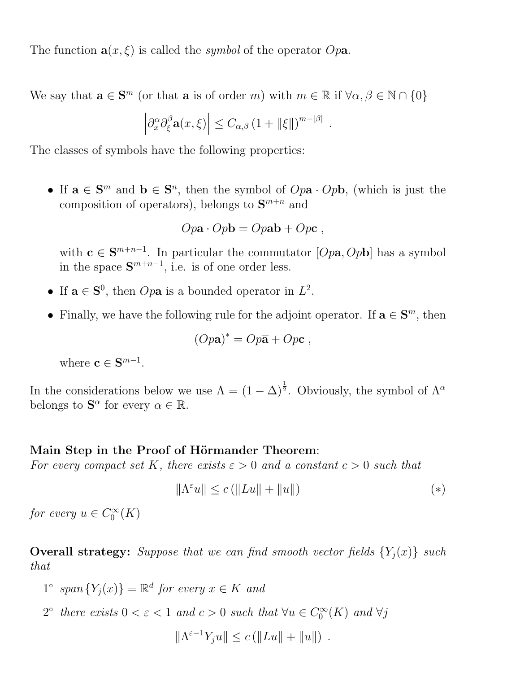The function  $\mathbf{a}(x,\xi)$  is called the *symbol* of the operator *Opa*.

We say that  $\mathbf{a} \in \mathbf{S}^m$  (or that  $\mathbf{a}$  is of order m) with  $m \in \mathbb{R}$  if  $\forall \alpha, \beta \in \mathbb{N} \cap \{0\}$ 

$$
\left| \partial_x^{\alpha} \partial_{\xi}^{\beta} \mathbf{a}(x,\xi) \right| \leq C_{\alpha,\beta} \left( 1 + ||\xi|| \right)^{m - |\beta|}
$$

The classes of symbols have the following properties:

• If  $\mathbf{a} \in \mathbf{S}^m$  and  $\mathbf{b} \in \mathbf{S}^n$ , then the symbol of  $Op\mathbf{a} \cdot Op\mathbf{b}$ , (which is just the composition of operators), belongs to  $S^{m+n}$  and

$$
Op\mathbf{a} \cdot Op\mathbf{b} = Op\mathbf{ab} + Op\mathbf{c} ,
$$

with  $c \in S^{m+n-1}$ . In particular the commutator  $[Opa, Opb]$  has a symbol in the space  $S^{m+n-1}$ , i.e. is of one order less.

- If  $\mathbf{a} \in \mathbf{S}^0$ , then  $Op\mathbf{a}$  is a bounded operator in  $L^2$ .
- Finally, we have the following rule for the adjoint operator. If  $\mathbf{a} \in \mathbf{S}^m$ , then

$$
(Op\mathbf{a})^* = Op\overline{\mathbf{a}} + Op\mathbf{c} ,
$$

where  $\mathbf{c} \in \mathbf{S}^{m-1}$ .

In the considerations below we use  $\Lambda = (1 - \Delta)^{\frac{1}{2}}$ . Obviously, the symbol of  $\Lambda^{\alpha}$ belongs to  $\mathbf{S}^{\alpha}$  for every  $\alpha \in \mathbb{R}$ .

#### Main Step in the Proof of Hörmander Theorem:

For every compact set K, there exists  $\varepsilon > 0$  and a constant  $c > 0$  such that

$$
\|\Lambda^{\varepsilon}u\| \le c \left(\|Lu\| + \|u\|\right) \tag{*}
$$

.

for every  $u \in C_0^{\infty}$  $_0^\infty(K)$ 

**Overall strategy:** Suppose that we can find smooth vector fields  $\{Y_i(x)\}\$  such that

- $1^{\circ}$  span  $\{Y_j(x)\} = \mathbb{R}^d$  for every  $x \in K$  and
- 2° there exists  $0 < \varepsilon < 1$  and  $c > 0$  such that  $\forall u \in C_0^{\infty}$  $_0^\infty (K)$  and  $\forall j$

$$
\|\Lambda^{\varepsilon-1}Y_ju\|\leq c\left(\|Lu\|+\|u\|\right)\;.
$$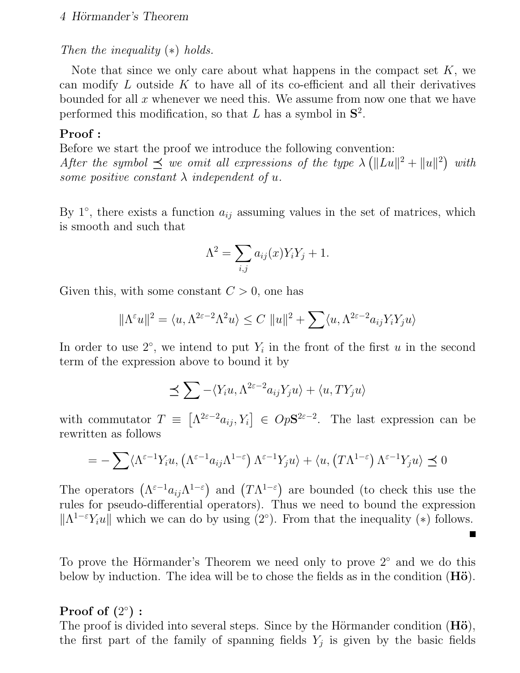#### 4 Hörmander's Theorem

#### Then the inequality (∗) holds.

Note that since we only care about what happens in the compact set  $K$ , we can modify  $L$  outside  $K$  to have all of its co-efficient and all their derivatives bounded for all x whenever we need this. We assume from now one that we have performed this modification, so that L has a symbol in  $S^2$ .

#### Proof :

Before we start the proof we introduce the following convention: After the symbol  $\preceq$  we omit all expressions of the type  $\lambda (\Vert Lu\Vert^2 + \Vert u\Vert^2)$  with some positive constant  $\lambda$  independent of u.

By  $1^{\circ}$ , there exists a function  $a_{ij}$  assuming values in the set of matrices, which is smooth and such that

$$
\Lambda^2 = \sum_{i,j} a_{ij}(x) Y_i Y_j + 1.
$$

Given this, with some constant  $C > 0$ , one has

$$
\|\Lambda^{\varepsilon}u\|^2 = \langle u, \Lambda^{2\varepsilon-2}\Lambda^2 u \rangle \le C \|u\|^2 + \sum \langle u, \Lambda^{2\varepsilon-2}a_{ij}Y_iY_ju \rangle
$$

In order to use  $2^{\circ}$ , we intend to put  $Y_i$  in the front of the first u in the second term of the expression above to bound it by

$$
\preceq \sum - \langle Y_i u, \Lambda^{2\varepsilon - 2} a_{ij} Y_j u \rangle + \langle u, T Y_j u \rangle
$$

with commutator  $T \equiv \left[ \Lambda^{2\varepsilon - 2} a_{ij}, Y_i \right] \in OpS^{2\varepsilon - 2}$ . The last expression can be rewritten as follows

$$
= -\sum \langle \Lambda^{\varepsilon - 1} Y_i u, \left( \Lambda^{\varepsilon - 1} a_{ij} \Lambda^{1 - \varepsilon} \right) \Lambda^{\varepsilon - 1} Y_j u \rangle + \langle u, \left( T \Lambda^{1 - \varepsilon} \right) \Lambda^{\varepsilon - 1} Y_j u \rangle \preceq 0
$$

The operators  $(\Lambda^{\varepsilon-1}a_{ij}\Lambda^{1-\varepsilon})$  and  $(T\Lambda^{1-\varepsilon})$  are bounded (to check this use the rules for pseudo-differential operators). Thus we need to bound the expression  $\|\Lambda^{1-\varepsilon}Y_i u\|$  which we can do by using (2<sup>°</sup>). From that the inequality (\*) follows.

 $\blacksquare$ 

To prove the Hörmander's Theorem we need only to prove  $2<sup>°</sup>$  and we do this below by induction. The idea will be to chose the fields as in the condition  $(H\ddot{o})$ .

### Proof of  $(2^{\circ})$  :

The proof is divided into several steps. Since by the Hörmander condition  $(H\ddot{o})$ , the first part of the family of spanning fields  $Y_j$  is given by the basic fields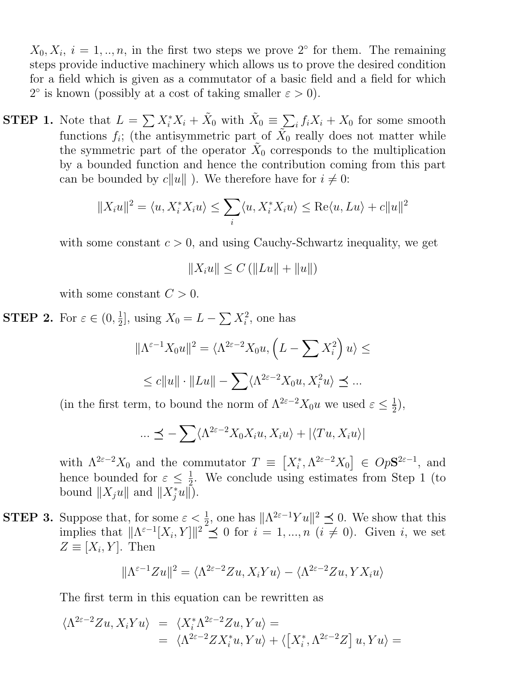$X_0, X_i, i = 1, ..., n$ , in the first two steps we prove 2° for them. The remaining steps provide inductive machinery which allows us to prove the desired condition for a field which is given as a commutator of a basic field and a field for which  $2^{\circ}$  is known (possibly at a cost of taking smaller  $\varepsilon > 0$ ).

**STEP 1.** Note that  $L = \sum X_i^* X_i + \tilde{X}_0$  with  $\tilde{X}_0 \equiv \sum_i f_i X_i + X_0$  for some smooth functions  $f_i$ ; (the antisymmetric part of  $\widetilde{X_0}$  really does not matter while the symmetric part of the operator  $\tilde{X}_0$  corresponds to the multiplication by a bounded function and hence the contribution coming from this part can be bounded by  $c||u||$  ). We therefore have for  $i \neq 0$ :

$$
||X_iu||^2 = \langle u, X_i^* X_i u \rangle \le \sum_i \langle u, X_i^* X_i u \rangle \le \text{Re}\langle u, Lu \rangle + c||u||^2
$$

with some constant  $c > 0$ , and using Cauchy-Schwartz inequality, we get

$$
||X_i u|| \le C (||Lu|| + ||u||)
$$

with some constant  $C > 0$ .

**STEP 2.** For  $\varepsilon \in (0, \frac{1}{2})$  $\frac{1}{2}$ , using  $X_0 = L - \sum X_i^2$ , one has

$$
\|\Lambda^{\varepsilon-1}X_0u\|^2=\langle \Lambda^{2\varepsilon-2}X_0u,\left(L-\sum X_i^2\right)u\rangle\leq
$$

$$
\leq c||u|| \cdot ||Lu|| - \sum \langle \Lambda^{2\varepsilon-2} X_0 u, X_i^2 u \rangle \preceq ...
$$

(in the first term, to bound the norm of  $\Lambda^{2\varepsilon-2}X_0u$  we used  $\varepsilon \leq \frac{1}{2}$ )  $(\frac{1}{2}),$ 

$$
\ldots \preceq -\sum \langle \Lambda^{2\varepsilon-2} X_0 X_i u, X_i u \rangle + |\langle Tu, X_i u \rangle|
$$

with  $\Lambda^{2\varepsilon-2}X_0$  and the commutator  $T \equiv \left[ X_i^*, \Lambda^{2\varepsilon-2}X_0 \right] \in Op^{\mathbf{S}^{2\varepsilon-1}}$ , and hence bounded for  $\varepsilon \leq \frac{1}{2}$  $\frac{1}{2}$ . We conclude using estimates from Step 1 (to bound  $||X_ju||$  and  $||X_j^*u||$ .

**STEP 3.** Suppose that, for some  $\varepsilon < \frac{1}{2}$ , one has  $||\Lambda^{2\varepsilon-1}Yu||^2 \leq 0$ . We show that this implies that  $\|\Lambda^{\varepsilon-1}[X_i, Y]\|^2 \leq 0$  for  $i = 1, ..., n$   $(i \neq 0)$ . Given i, we set  $Z \equiv [X_i, Y]$ . Then

$$
\|\Lambda^{\varepsilon-1}Zu\|^2 = \langle \Lambda^{2\varepsilon-2}Zu, X_iYu\rangle - \langle \Lambda^{2\varepsilon-2}Zu, YX_iu\rangle
$$

The first term in this equation can be rewritten as

$$
\langle \Lambda^{2\varepsilon-2} Z u, X_i Y u \rangle = \langle X_i^* \Lambda^{2\varepsilon-2} Z u, Y u \rangle =
$$
  
= 
$$
\langle \Lambda^{2\varepsilon-2} Z X_i^* u, Y u \rangle + \langle [X_i^*, \Lambda^{2\varepsilon-2} Z] u, Y u \rangle =
$$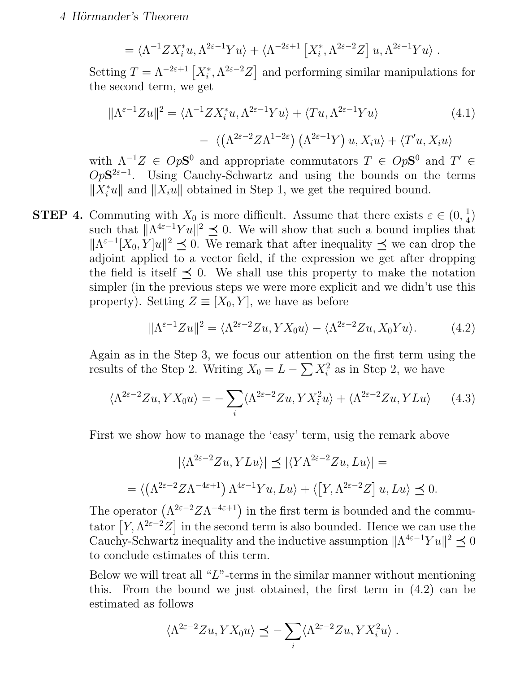#### 4 Hörmander's Theorem

$$
= \langle \Lambda^{-1} Z X_i^* u, \Lambda^{2\varepsilon - 1} Y u \rangle + \langle \Lambda^{-2\varepsilon + 1} \left[ X_i^*, \Lambda^{2\varepsilon - 2} Z \right] u, \Lambda^{2\varepsilon - 1} Y u \rangle.
$$

Setting  $T = \Lambda^{-2\varepsilon+1} [X_i^*, \Lambda^{2\varepsilon-2} Z]$  and performing similar manipulations for the second term, we get

$$
\|\Lambda^{\varepsilon-1}Zu\|^2 = \langle \Lambda^{-1}ZX_i^*u, \Lambda^{2\varepsilon-1}Yu \rangle + \langle Tu, \Lambda^{2\varepsilon-1}Yu \rangle
$$
\n
$$
- \langle \left(\Lambda^{2\varepsilon-2}Z\Lambda^{1-2\varepsilon}\right)\left(\Lambda^{2\varepsilon-1}Y\right)u, X_iu \rangle + \langle T'u, X_iu \rangle
$$
\n(4.1)

with  $\Lambda^{-1}Z \in OpS^0$  and appropriate commutators  $T \in OpS^0$  and  $T' \in$  $OpS^{2\varepsilon-1}$ . Using Cauchy-Schwartz and using the bounds on the terms  $||X_i^*u||$  and  $||X_iu||$  obtained in Step 1, we get the required bound.

**STEP 4.** Commuting with  $X_0$  is more difficult. Assume that there exists  $\varepsilon \in (0, \frac{1}{4})$  $\frac{1}{4})$ such that  $\|\Lambda^{4\varepsilon-1}Yu\|^2 \leq 0$ . We will show that such a bound implies that  $\|\Lambda^{\varepsilon-1}[X_0, Y]u\|^2 \leq 0$ . We remark that after inequality  $\preceq$  we can drop the adjoint applied to a vector field, if the expression we get after dropping the field is itself  $\prec$  0. We shall use this property to make the notation simpler (in the previous steps we were more explicit and we didn't use this property). Setting  $Z \equiv [X_0, Y]$ , we have as before

$$
\|\Lambda^{\varepsilon-1}Zu\|^2 = \langle \Lambda^{2\varepsilon-2}Zu, YX_0u \rangle - \langle \Lambda^{2\varepsilon-2}Zu, X_0Yu \rangle. \tag{4.2}
$$

Again as in the Step 3, we focus our attention on the first term using the results of the Step 2. Writing  $X_0 = L - \sum X_i^2$  as in Step 2, we have

$$
\langle \Lambda^{2\varepsilon-2} Z u, Y X_0 u \rangle = -\sum_i \langle \Lambda^{2\varepsilon-2} Z u, Y X_i^2 u \rangle + \langle \Lambda^{2\varepsilon-2} Z u, Y L u \rangle \qquad (4.3)
$$

First we show how to manage the 'easy' term, usig the remark above

$$
|\langle \Lambda^{2\varepsilon-2} Zu, YLu \rangle| \le |\langle Y \Lambda^{2\varepsilon-2} Zu, Lu \rangle| =
$$
  
=  $\langle (\Lambda^{2\varepsilon-2} Z\Lambda^{-4\varepsilon+1}) \Lambda^{4\varepsilon-1} Yu, Lu \rangle + \langle [Y, \Lambda^{2\varepsilon-2} Z]u, Lu \rangle \le 0.$ 

The operator  $(\Lambda^{2\varepsilon-2}Z\Lambda^{-4\varepsilon+1})$  in the first term is bounded and the commutator  $[Y, \Lambda^{2\varepsilon-2}Z]$  in the second term is also bounded. Hence we can use the Cauchy-Schwartz inequality and the inductive assumption  $\|\Lambda^{4\varepsilon-1}Yu\|^2 \leq 0$ to conclude estimates of this term.

Below we will treat all " $L$ "-terms in the similar manner without mentioning this. From the bound we just obtained, the first term in (4.2) can be estimated as follows

$$
\langle \Lambda^{2\varepsilon-2} Z u, Y X_0 u \rangle \preceq -\sum_i \langle \Lambda^{2\varepsilon-2} Z u, Y X_i^2 u \rangle.
$$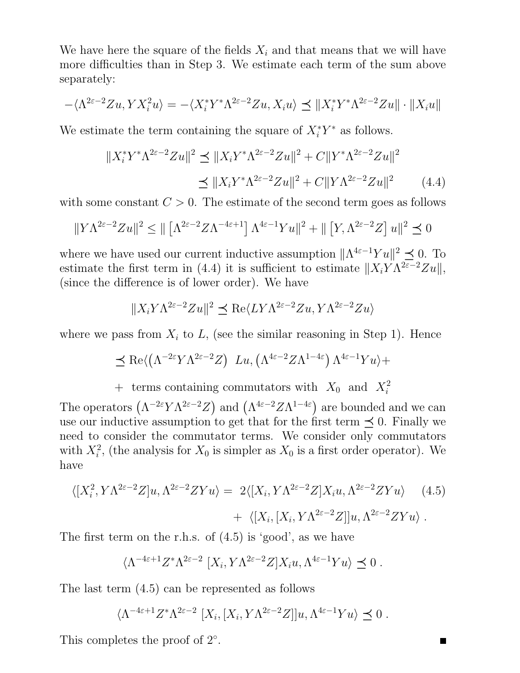We have here the square of the fields  $X_i$  and that means that we will have more difficulties than in Step 3. We estimate each term of the sum above separately:

$$
-\langle \Lambda^{2\varepsilon-2} Z u, Y X_i^2 u \rangle = -\langle X_i^* Y^* \Lambda^{2\varepsilon-2} Z u, X_i u \rangle \preceq \| X_i^* Y^* \Lambda^{2\varepsilon-2} Z u \| \cdot \| X_i u \|
$$

We estimate the term containing the square of  $X_i^* Y^*$  as follows.

$$
||X_i^* Y^* \Lambda^{2\varepsilon - 2} Z u||^2 \le ||X_i Y^* \Lambda^{2\varepsilon - 2} Z u||^2 + C||Y^* \Lambda^{2\varepsilon - 2} Z u||^2
$$
  

$$
\le ||X_i Y^* \Lambda^{2\varepsilon - 2} Z u||^2 + C||Y \Lambda^{2\varepsilon - 2} Z u||^2 \qquad (4.4)
$$

with some constant  $C > 0$ . The estimate of the second term goes as follows

$$
||Y\Lambda^{2\varepsilon-2}Zu||^2 \le ||\left[\Lambda^{2\varepsilon-2}Z\Lambda^{-4\varepsilon+1}\right]\Lambda^{4\varepsilon-1}Yu||^2 + ||\left[Y,\Lambda^{2\varepsilon-2}Z\right]u||^2 \le 0
$$

where we have used our current inductive assumption  $||\Lambda^{4\varepsilon-1}Yu||^2 \leq 0$ . To estimate the first term in (4.4) it is sufficient to estimate  $||X_iY\Lambda^{2\epsilon-2}Zu||$ , (since the difference is of lower order). We have

$$
||X_i Y \Lambda^{2\epsilon - 2} Z u||^2 \leq \text{Re}\langle L Y \Lambda^{2\epsilon - 2} Z u, Y \Lambda^{2\epsilon - 2} Z u \rangle
$$

where we pass from  $X_i$  to  $L$ , (see the similar reasoning in Step 1). Hence

$$
\preceq \text{Re}\langle \left(\Lambda^{-2\varepsilon} Y \Lambda^{2\varepsilon - 2} Z\right) \, Lu, \left(\Lambda^{4\varepsilon - 2} Z \Lambda^{1 - 4\varepsilon}\right) \Lambda^{4\varepsilon - 1} Y u \rangle +
$$

+ terms containing commutators with  $X_0$  and  $X_i^2$ i

The operators  $(\Lambda^{-2\varepsilon} Y \Lambda^{2\varepsilon - 2} Z)$  and  $(\Lambda^{4\varepsilon - 2} Z \Lambda^{1-4\varepsilon})$  are bounded and we can use our inductive assumption to get that for the first term  $\preceq$  0. Finally we need to consider the commutator terms. We consider only commutators with  $X_i^2$ , (the analysis for  $X_0$  is simpler as  $X_0$  is a first order operator). We have

$$
\langle [X_i^2, Y\Lambda^{2\varepsilon-2}Z]u, \Lambda^{2\varepsilon-2}ZYu \rangle = 2\langle [X_i, Y\Lambda^{2\varepsilon-2}Z]X_iu, \Lambda^{2\varepsilon-2}ZYu \rangle \qquad (4.5)
$$
  
+ 
$$
\langle [X_i, [X_i, Y\Lambda^{2\varepsilon-2}Z]]u, \Lambda^{2\varepsilon-2}ZYu \rangle .
$$

The first term on the r.h.s. of (4.5) is 'good', as we have

$$
\langle \Lambda^{-4\varepsilon+1} Z^* \Lambda^{2\varepsilon-2} [X_i, Y \Lambda^{2\varepsilon-2} Z] X_i u, \Lambda^{4\varepsilon-1} Y u \rangle \preceq 0.
$$

The last term (4.5) can be represented as follows

$$
\langle \Lambda^{-4\varepsilon+1} Z^* \Lambda^{2\varepsilon-2} [X_i, [X_i, Y \Lambda^{2\varepsilon-2} Z]]u, \Lambda^{4\varepsilon-1} Y u \rangle \preceq 0.
$$

This completes the proof of  $2^\circ$ .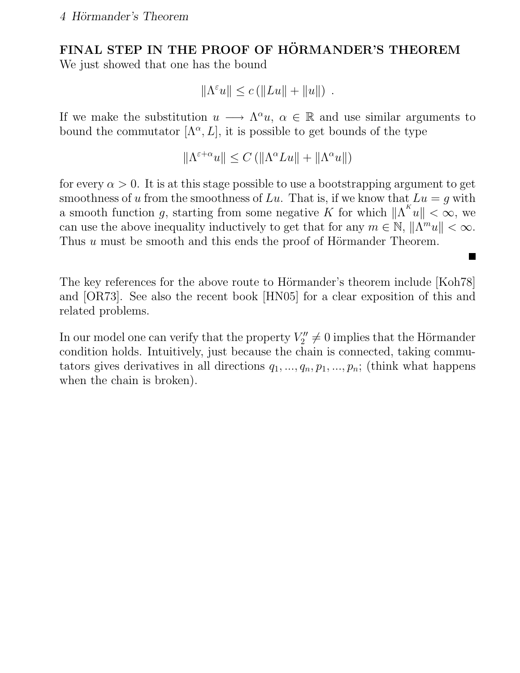FINAL STEP IN THE PROOF OF HÖRMANDER'S THEOREM We just showed that one has the bound

$$
\|\Lambda^{\varepsilon}u\| \leq c \left(\|Lu\| + \|u\|\right) \; .
$$

If we make the substitution  $u \longrightarrow \Lambda^{\alpha} u$ ,  $\alpha \in \mathbb{R}$  and use similar arguments to bound the commutator  $[\Lambda^\alpha, L]$ , it is possible to get bounds of the type

$$
\|\Lambda^{\varepsilon+\alpha}u\|\leq C\left(\|\Lambda^\alpha Lu\|+\|\Lambda^\alpha u\|\right)
$$

for every  $\alpha > 0$ . It is at this stage possible to use a bootstrapping argument to get smoothness of u from the smoothness of Lu. That is, if we know that  $Lu = g$  with a smooth function g, starting from some negative K for which  $\|\Lambda^k u\| < \infty$ , we can use the above inequality inductively to get that for any  $m \in \mathbb{N}$ ,  $\|\Lambda^m u\| < \infty$ . Thus  $u$  must be smooth and this ends the proof of Hörmander Theorem.

The key references for the above route to Hörmander's theorem include [Koh78] and [OR73]. See also the recent book [HN05] for a clear exposition of this and related problems.

Ш

In our model one can verify that the property  $V''_2 \neq 0$  implies that the Hörmander condition holds. Intuitively, just because the chain is connected, taking commutators gives derivatives in all directions  $q_1, ..., q_n, p_1, ..., p_n$ ; (think what happens when the chain is broken).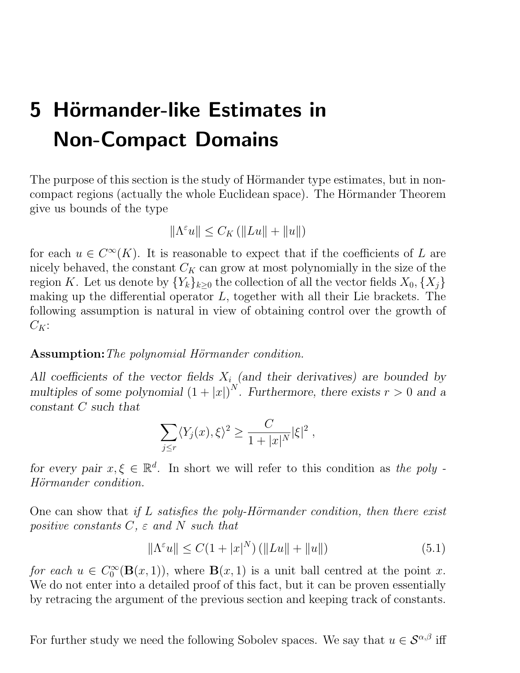# 5 Hörmander-like Estimates in Non-Compact Domains

The purpose of this section is the study of Hörmander type estimates, but in noncompact regions (actually the whole Euclidean space). The Hörmander Theorem give us bounds of the type

$$
\|\Lambda^{\varepsilon}u\|\leq C_K\left(\|Lu\|+\|u\|\right)
$$

for each  $u \in C^{\infty}(K)$ . It is reasonable to expect that if the coefficients of L are nicely behaved, the constant  $C_K$  can grow at most polynomially in the size of the region K. Let us denote by  ${Y_k}_{k>0}$  the collection of all the vector fields  $X_0, \{X_i\}$ making up the differential operator  $L$ , together with all their Lie brackets. The following assumption is natural in view of obtaining control over the growth of  $C_K$ :

#### Assumption: The polynomial Hörmander condition.

All coefficients of the vector fields  $X_i$  (and their derivatives) are bounded by multiples of some polynomial  $(1+|x|)^N$ . Furthermore, there exists  $r > 0$  and a constant C such that

$$
\sum_{j\leq r} \langle Y_j(x), \xi \rangle^2 \geq \frac{C}{1+|x|^N} |\xi|^2,
$$

for every pair  $x, \xi \in \mathbb{R}^d$ . In short we will refer to this condition as the poly-Hörmander condition.

One can show that if L satisfies the poly-Hörmander condition, then there exist positive constants  $C$ ,  $\varepsilon$  and N such that

$$
\|\Lambda^{\varepsilon}u\| \le C(1+|x|^N) \left( \|Lu\| + \|u\| \right) \tag{5.1}
$$

for each  $u \in C_0^{\infty}$  $\mathcal{O}_0^{\infty}(\mathbf{B}(x,1)),$  where  $\mathbf{B}(x,1)$  is a unit ball centred at the point x. We do not enter into a detailed proof of this fact, but it can be proven essentially by retracing the argument of the previous section and keeping track of constants.

For further study we need the following Sobolev spaces. We say that  $u \in \mathcal{S}^{\alpha,\beta}$  iff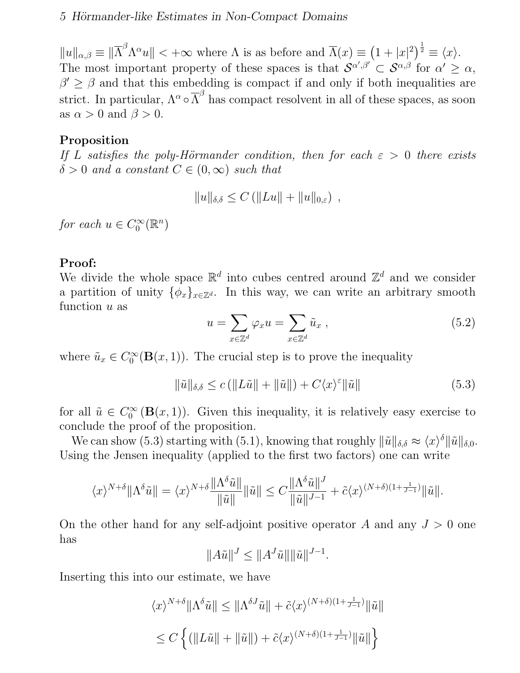#### 5 Hörmander-like Estimates in Non-Compact Domains

 $||u||_{\alpha,\beta} \equiv ||\overline{\Lambda}^{\beta} \Lambda^{\alpha} u|| < +\infty$  where  $\Lambda$  is as before and  $\overline{\Lambda}(x) \equiv (1+|x|^2)^{\frac{1}{2}} \equiv \langle x \rangle$ . The most important property of these spaces is that  $S^{\alpha',\beta'} \subset S^{\alpha,\beta}$  for  $\alpha' \geq \alpha$ ,  $\beta' \geq \beta$  and that this embedding is compact if and only if both inequalities are strict. In particular,  $\Lambda^{\alpha} \circ \overline{\Lambda}^{\beta}$  has compact resolvent in all of these spaces, as soon as  $\alpha > 0$  and  $\beta > 0$ .

#### Proposition

If L satisfies the poly-Hörmander condition, then for each  $\varepsilon > 0$  there exists  $\delta > 0$  and a constant  $C \in (0, \infty)$  such that

$$
||u||_{\delta,\delta} \leq C (||Lu|| + ||u||_{0,\varepsilon}),
$$

for each  $u \in C_0^{\infty}$  $\sum_{0}^{\infty}(\mathbb{R}^{n})$ 

#### Proof:

We divide the whole space  $\mathbb{R}^d$  into cubes centred around  $\mathbb{Z}^d$  and we consider a partition of unity  $\{\phi_x\}_{x\in\mathbb{Z}^d}$ . In this way, we can write an arbitrary smooth function u as

$$
u = \sum_{x \in \mathbb{Z}^d} \varphi_x u = \sum_{x \in \mathbb{Z}^d} \tilde{u}_x , \qquad (5.2)
$$

where  $\tilde{u}_x \in C_0^{\infty}$  $\int_0^\infty (\mathbf{B}(x,1))$ . The crucial step is to prove the inequality

$$
\|\tilde{u}\|_{\delta,\delta} \le c \left( \|L\tilde{u}\| + \|\tilde{u}\|\right) + C\langle x \rangle^{\varepsilon} \|\tilde{u}\|
$$
\n(5.3)

for all  $\tilde{u} \in C_0^{\infty}$  $\int_0^\infty (\mathbf{B}(x,1))$ . Given this inequality, it is relatively easy exercise to conclude the proof of the proposition.

We can show (5.3) starting with (5.1), knowing that roughly  $\|\tilde{u}\|_{\delta,\delta} \approx \langle x \rangle^{\delta} \|\tilde{u}\|_{\delta,0}$ . Using the Jensen inequality (applied to the first two factors) one can write

$$
\langle x \rangle^{N+\delta} \|\Lambda^{\delta}\tilde{u}\| = \langle x \rangle^{N+\delta} \frac{\|\Lambda^{\delta}\tilde{u}\|}{\|\tilde{u}\|} \|\tilde{u}\| \leq C \frac{\|\Lambda^{\delta}\tilde{u}\|^{J}}{\|\tilde{u}\|^{J-1}} + \tilde{c} \langle x \rangle^{(N+\delta)(1+\frac{1}{J-1})} \|\tilde{u}\|.
$$

On the other hand for any self-adjoint positive operator A and any  $J > 0$  one has

$$
||A\tilde{u}||^{J} \leq ||A^{J}\tilde{u}|| ||\tilde{u}||^{J-1}.
$$

Inserting this into our estimate, we have

$$
\langle x \rangle^{N+\delta} \|\Lambda^{\delta}\tilde{u}\| \le \|\Lambda^{\delta J}\tilde{u}\| + \tilde{c} \langle x \rangle^{(N+\delta)(1+\frac{1}{J-1})} \|\tilde{u}\|
$$
  

$$
\le C \left\{ (\|L\tilde{u}\| + \|\tilde{u}\|) + \tilde{c} \langle x \rangle^{(N+\delta)(1+\frac{1}{J-1})} \|\tilde{u}\| \right\}
$$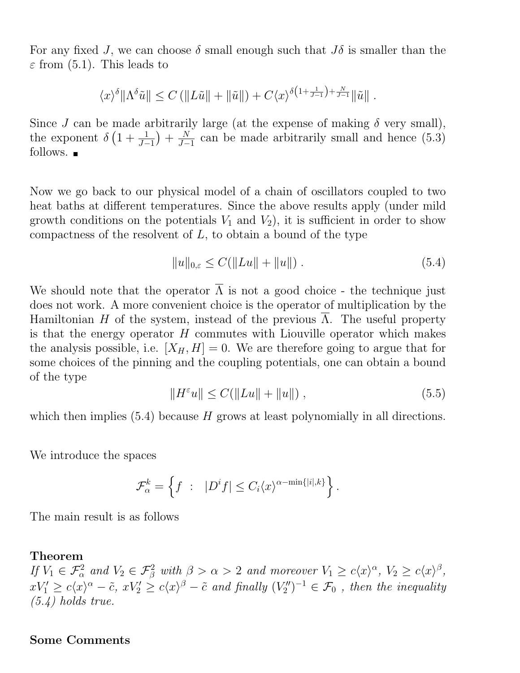For any fixed J, we can choose  $\delta$  small enough such that  $J\delta$  is smaller than the  $\varepsilon$  from (5.1). This leads to

$$
\langle x \rangle^{\delta} \|\Lambda^{\delta}\tilde{u}\| \leq C \left( \|L\tilde{u}\| + \|\tilde{u}\|\right) + C \langle x \rangle^{\delta\left(1 + \frac{1}{J-1}\right) + \frac{N}{J-1}} \|\tilde{u}\|.
$$

Since J can be made arbitrarily large (at the expense of making  $\delta$  very small), the exponent  $\delta\left(1+\frac{1}{J-1}\right)+\frac{N}{J-1}$  $\frac{N}{J-1}$  can be made arbitrarily small and hence (5.3) follows.  $\blacksquare$ 

Now we go back to our physical model of a chain of oscillators coupled to two heat baths at different temperatures. Since the above results apply (under mild growth conditions on the potentials  $V_1$  and  $V_2$ ), it is sufficient in order to show compactness of the resolvent of  $L$ , to obtain a bound of the type

$$
||u||_{0,\varepsilon} \le C(||Lu|| + ||u||). \tag{5.4}
$$

We should note that the operator  $\overline{\Lambda}$  is not a good choice - the technique just does not work. A more convenient choice is the operator of multiplication by the Hamiltonian H of the system, instead of the previous  $\overline{\Lambda}$ . The useful property is that the energy operator  $H$  commutes with Liouville operator which makes the analysis possible, i.e.  $[X_H, H] = 0$ . We are therefore going to argue that for some choices of the pinning and the coupling potentials, one can obtain a bound of the type

$$
||H^{\varepsilon}u|| \le C(||Lu|| + ||u||), \qquad (5.5)
$$

which then implies  $(5.4)$  because H grows at least polynomially in all directions.

We introduce the spaces

$$
\mathcal{F}_{\alpha}^{k} = \left\{ f : \quad |D^{i}f| \leq C_{i} \langle x \rangle^{\alpha - \min\{|i|,k\}} \right\}.
$$

The main result is as follows

#### Theorem

If  $V_1 \in \mathcal{F}_\alpha^2$  and  $V_2 \in \mathcal{F}_\beta^2$  with  $\beta > \alpha > 2$  and moreover  $V_1 \ge c \langle x \rangle^\alpha$ ,  $V_2 \ge c \langle x \rangle^\beta$ ,  $xV'_1 \ge c\langle x \rangle^\alpha - \tilde{c}, \ xV'_2 \ge c\langle x \rangle^\beta - \tilde{c} \ and \ finally \ (V''_2)$  $(Z''_2)^{-1} \in \mathcal{F}_0$  , then the inequality  $(5.4)$  holds true.

#### Some Comments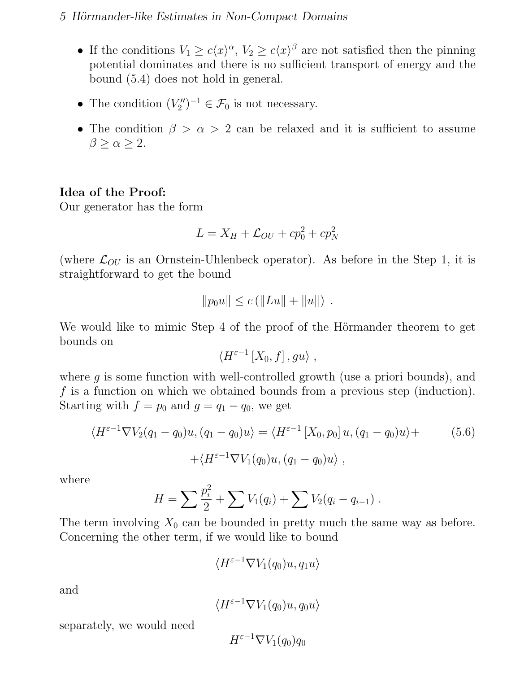#### 5 Hörmander-like Estimates in Non-Compact Domains

- If the conditions  $V_1 \ge c\langle x \rangle^\alpha$ ,  $V_2 \ge c\langle x \rangle^\beta$  are not satisfied then the pinning potential dominates and there is no sufficient transport of energy and the bound (5.4) does not hold in general.
- The condition  $(V_2'')$  $(\mathcal{F}_2'')^{-1} \in \mathcal{F}_0$  is not necessary.
- The condition  $\beta > \alpha > 2$  can be relaxed and it is sufficient to assume  $\beta \geq \alpha \geq 2$ .

#### Idea of the Proof:

Our generator has the form

$$
L = X_H + \mathcal{L}_{OU} + cp_0^2 + cp_N^2
$$

(where  $\mathcal{L}_{OU}$  is an Ornstein-Uhlenbeck operator). As before in the Step 1, it is straightforward to get the bound

$$
||p_0u|| \le c (||Lu|| + ||u||) .
$$

We would like to mimic Step 4 of the proof of the Hörmander theorem to get bounds on

$$
\langle H^{\varepsilon-1}\left[X_0,f\right],gu\rangle\;,
$$

where  $g$  is some function with well-controlled growth (use a priori bounds), and  $f$  is a function on which we obtained bounds from a previous step (induction). Starting with  $f = p_0$  and  $g = q_1 - q_0$ , we get

$$
\langle H^{\varepsilon-1} \nabla V_2(q_1 - q_0) u, (q_1 - q_0) u \rangle = \langle H^{\varepsilon-1} [X_0, p_0] u, (q_1 - q_0) u \rangle +
$$
  
 
$$
\qquad + \langle H^{\varepsilon-1} \nabla V_1(q_0) u, (q_1 - q_0) u \rangle,
$$
 (5.6)

where

$$
H = \sum \frac{p_i^2}{2} + \sum V_1(q_i) + \sum V_2(q_i - q_{i-1}).
$$

The term involving  $X_0$  can be bounded in pretty much the same way as before. Concerning the other term, if we would like to bound

 $\langle H^{\varepsilon-1} \nabla V_1(q_0)u, q_1u \rangle$ 

and

$$
\langle H^{\varepsilon-1}\nabla V_1(q_0)u, q_0u\rangle
$$

separately, we would need

$$
H^{\varepsilon-1}\nabla V_1(q_0)q_0
$$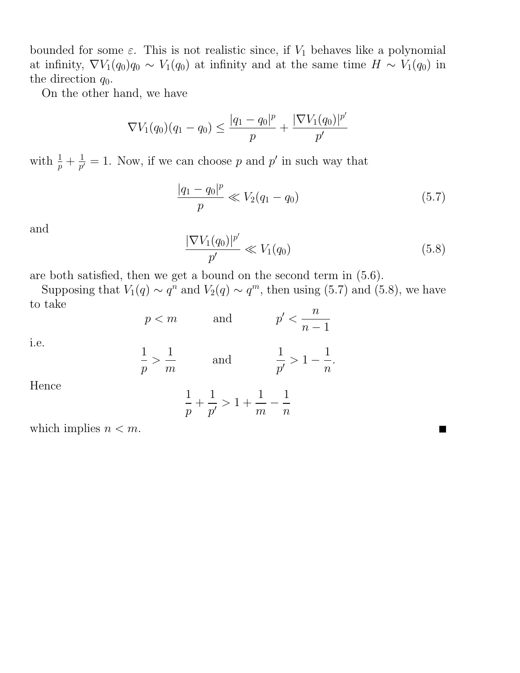bounded for some  $\varepsilon$ . This is not realistic since, if  $V_1$  behaves like a polynomial at infinity,  $\nabla V_1(q_0)q_0 \sim V_1(q_0)$  at infinity and at the same time  $H \sim V_1(q_0)$  in the direction  $q_0$ .

On the other hand, we have

$$
\nabla V_1(q_0)(q_1-q_0) \le \frac{|q_1-q_0|^p}{p} + \frac{|\nabla V_1(q_0)|^{p'}}{p'}
$$

with  $\frac{1}{p} + \frac{1}{p'}$  $\frac{1}{p'} = 1$ . Now, if we can choose p and p' in such way that

$$
\frac{|q_1 - q_0|^p}{p} \ll V_2(q_1 - q_0) \tag{5.7}
$$

and

$$
\frac{|\nabla V_1(q_0)|^{p'}}{p'} \ll V_1(q_0)
$$
\n(5.8)

 $\blacksquare$ 

are both satisfied, then we get a bound on the second term in (5.6).

Supposing that  $V_1(q) \sim q^n$  and  $V_2(q) \sim q^m$ , then using (5.7) and (5.8), we have to take

| p < m | and | $p'<\frac{n}{p}$ |
|-------|-----|------------------|
|       |     | $\frac{1}{n-1}$  |

i.e.

| and |  |
|-----|--|
|     |  |

Hence

$$
\frac{1}{p} + \frac{1}{p'} > 1 + \frac{1}{m} - \frac{1}{n}
$$

which implies  $n < m$ .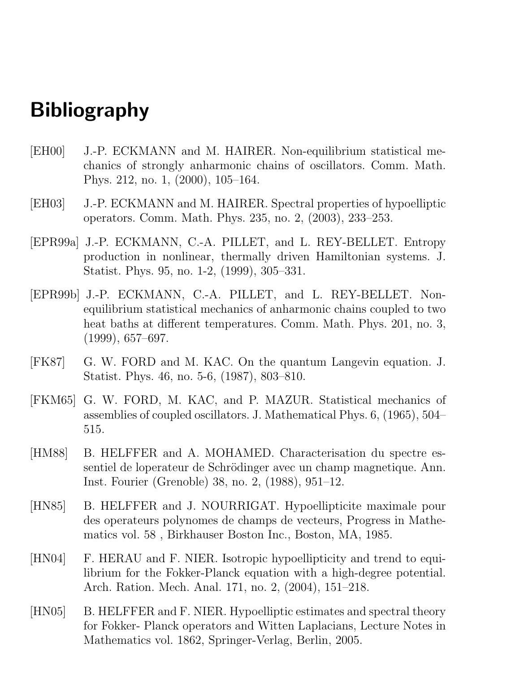## **Bibliography**

- [EH00] J.-P. ECKMANN and M. HAIRER. Non-equilibrium statistical mechanics of strongly anharmonic chains of oscillators. Comm. Math. Phys. 212, no. 1, (2000), 105–164.
- [EH03] J.-P. ECKMANN and M. HAIRER. Spectral properties of hypoelliptic operators. Comm. Math. Phys. 235, no. 2, (2003), 233–253.
- [EPR99a] J.-P. ECKMANN, C.-A. PILLET, and L. REY-BELLET. Entropy production in nonlinear, thermally driven Hamiltonian systems. J. Statist. Phys. 95, no. 1-2, (1999), 305–331.
- [EPR99b] J.-P. ECKMANN, C.-A. PILLET, and L. REY-BELLET. Nonequilibrium statistical mechanics of anharmonic chains coupled to two heat baths at different temperatures. Comm. Math. Phys. 201, no. 3, (1999), 657–697.
- [FK87] G. W. FORD and M. KAC. On the quantum Langevin equation. J. Statist. Phys. 46, no. 5-6, (1987), 803–810.
- [FKM65] G. W. FORD, M. KAC, and P. MAZUR. Statistical mechanics of assemblies of coupled oscillators. J. Mathematical Phys. 6, (1965), 504– 515.
- [HM88] B. HELFFER and A. MOHAMED. Characterisation du spectre essentiel de loperateur de Schrödinger avec un champ magnetique. Ann. Inst. Fourier (Grenoble) 38, no. 2, (1988), 951–12.
- [HN85] B. HELFFER and J. NOURRIGAT. Hypoellipticite maximale pour des operateurs polynomes de champs de vecteurs, Progress in Mathematics vol. 58 , Birkhauser Boston Inc., Boston, MA, 1985.
- [HN04] F. HERAU and F. NIER. Isotropic hypoellipticity and trend to equilibrium for the Fokker-Planck equation with a high-degree potential. Arch. Ration. Mech. Anal. 171, no. 2, (2004), 151–218.
- [HN05] B. HELFFER and F. NIER. Hypoelliptic estimates and spectral theory for Fokker- Planck operators and Witten Laplacians, Lecture Notes in Mathematics vol. 1862, Springer-Verlag, Berlin, 2005.